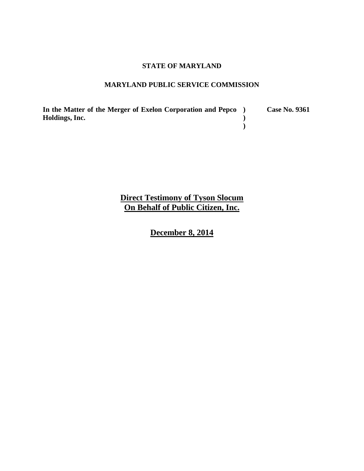## **STATE OF MARYLAND**

### **MARYLAND PUBLIC SERVICE COMMISSION**

**In the Matter of the Merger of Exelon Corporation and Pepco ) Holdings, Inc. ) )** **Case No. 9361**

**Direct Testimony of Tyson Slocum On Behalf of Public Citizen, Inc.**

**December 8, 2014**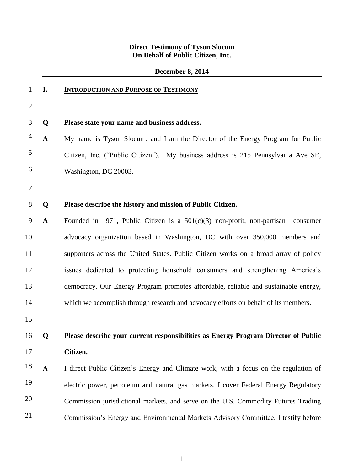### **Direct Testimony of Tyson Slocum On Behalf of Public Citizen, Inc.**

|                |              | <b>December 8, 2014</b>                                                               |
|----------------|--------------|---------------------------------------------------------------------------------------|
| $\mathbf{1}$   | I.           | <b>INTRODUCTION AND PURPOSE OF TESTIMONY</b>                                          |
| $\overline{2}$ |              |                                                                                       |
| 3              | Q            | Please state your name and business address.                                          |
| 4              | $\mathbf A$  | My name is Tyson Slocum, and I am the Director of the Energy Program for Public       |
| 5              |              | Citizen, Inc. ("Public Citizen"). My business address is 215 Pennsylvania Ave SE,     |
| 6              |              | Washington, DC 20003.                                                                 |
| 7              |              |                                                                                       |
| 8              | Q            | Please describe the history and mission of Public Citizen.                            |
| 9              | $\mathbf A$  | Founded in 1971, Public Citizen is a $501(c)(3)$ non-profit, non-partisan<br>consumer |
| 10             |              | advocacy organization based in Washington, DC with over 350,000 members and           |
| 11             |              | supporters across the United States. Public Citizen works on a broad array of policy  |
| 12             |              | issues dedicated to protecting household consumers and strengthening America's        |
| 13             |              | democracy. Our Energy Program promotes affordable, reliable and sustainable energy,   |
| 14             |              | which we accomplish through research and advocacy efforts on behalf of its members.   |
| 15             |              |                                                                                       |
| 16             | Q            | Please describe your current responsibilities as Energy Program Director of Public    |
| 17             |              | Citizen.                                                                              |
| 18             | $\mathbf{A}$ | I direct Public Citizen's Energy and Climate work, with a focus on the regulation of  |
| 19             |              | electric power, petroleum and natural gas markets. I cover Federal Energy Regulatory  |
| 20             |              | Commission jurisdictional markets, and serve on the U.S. Commodity Futures Trading    |
| 21             |              | Commission's Energy and Environmental Markets Advisory Committee. I testify before    |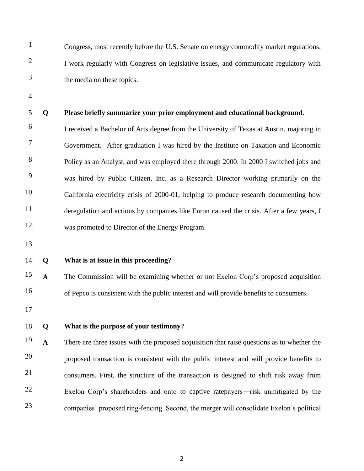Congress, most recently before the U.S. Senate on energy commodity market regulations. 1 I work regularly with Congress on legislative issues, and communicate regulatory with 2 3 the media on these topics.

4

### 5 **Q Please briefly summarize your prior employment and educational background.**

I received a Bachelor of Arts degree from the University of Texas at Austin, majoring in 6 Government. After graduation I was hired by the Institute on Taxation and Economic 7 Policy as an Analyst, and was employed there through 2000. In 2000 I switched jobs and 8 was hired by Public Citizen, Inc. as a Research Director working primarily on the 9 California electricity crisis of 2000-01, helping to produce research documenting how 10 deregulation and actions by companies like Enron caused the crisis. After a few years, I 11 was promoted to Director of the Energy Program. 12

13

### 14 **Q What is at issue in this proceeding?**

<sup>15</sup> **A** The Commission will be examining whether or not Exelon Corp's proposed acquisition of Pepco is consistent with the public interest and will provide benefits to consumers. 16

17

### 18 **Q What is the purpose of your testimony?**

**A** There are three issues with the proposed acquisition that raise questions as to whether the proposed transaction is consistent with the public interest and will provide benefits to 20 consumers. First, the structure of the transaction is designed to shift risk away from 21 Exelon Corp's shareholders and onto to captive ratepayers―risk unmitigated by the 22 companies' proposed ring-fencing. Second, the merger will consolidate Exelon's political 23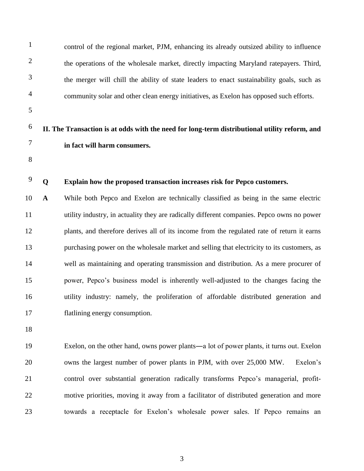| $\mathbf{1}$   |             | control of the regional market, PJM, enhancing its already outsized ability to influence      |
|----------------|-------------|-----------------------------------------------------------------------------------------------|
| $\overline{2}$ |             | the operations of the wholesale market, directly impacting Maryland ratepayers. Third,        |
| 3              |             | the merger will chill the ability of state leaders to enact sustainability goals, such as     |
| $\overline{4}$ |             | community solar and other clean energy initiatives, as Exelon has opposed such efforts.       |
| 5              |             |                                                                                               |
| 6              |             | II. The Transaction is at odds with the need for long-term distributional utility reform, and |
| 7              |             | in fact will harm consumers.                                                                  |
| 8              |             |                                                                                               |
| 9              | Q           | Explain how the proposed transaction increases risk for Pepco customers.                      |
| 10             | $\mathbf A$ | While both Pepco and Exelon are technically classified as being in the same electric          |
| 11             |             | utility industry, in actuality they are radically different companies. Pepco owns no power    |
| 12             |             | plants, and therefore derives all of its income from the regulated rate of return it earns    |
| 13             |             | purchasing power on the wholesale market and selling that electricity to its customers, as    |
| 14             |             | well as maintaining and operating transmission and distribution. As a mere procurer of        |
| 15             |             | power, Pepco's business model is inherently well-adjusted to the changes facing the           |
| 16             |             | utility industry: namely, the proliferation of affordable distributed generation and          |
| 17             |             | flatlining energy consumption.                                                                |
| 18             |             |                                                                                               |
| 19             |             | Exelon, on the other hand, owns power plants—a lot of power plants, it turns out. Exelon      |
| 20             |             | owns the largest number of power plants in PJM, with over 25,000 MW.<br>Exelon's              |

 control over substantial generation radically transforms Pepco's managerial, profit- motive priorities, moving it away from a facilitator of distributed generation and more towards a receptacle for Exelon's wholesale power sales. If Pepco remains an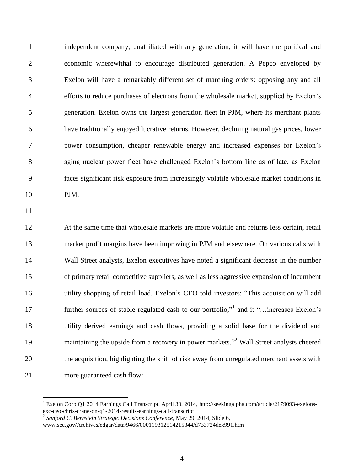independent company, unaffiliated with any generation, it will have the political and economic wherewithal to encourage distributed generation. A Pepco enveloped by Exelon will have a remarkably different set of marching orders: opposing any and all efforts to reduce purchases of electrons from the wholesale market, supplied by Exelon's generation. Exelon owns the largest generation fleet in PJM, where its merchant plants have traditionally enjoyed lucrative returns. However, declining natural gas prices, lower power consumption, cheaper renewable energy and increased expenses for Exelon's aging nuclear power fleet have challenged Exelon's bottom line as of late, as Exelon faces significant risk exposure from increasingly volatile wholesale market conditions in PJM.

 $\overline{a}$ 

 At the same time that wholesale markets are more volatile and returns less certain, retail market profit margins have been improving in PJM and elsewhere. On various calls with Wall Street analysts, Exelon executives have noted a significant decrease in the number of primary retail competitive suppliers, as well as less aggressive expansion of incumbent utility shopping of retail load. Exelon's CEO told investors: "This acquisition will add 17 further sources of stable regulated cash to our portfolio," and it "... increases Exelon's utility derived earnings and cash flows, providing a solid base for the dividend and 19 maintaining the upside from a recovery in power markets.<sup>"2</sup> Wall Street analysts cheered the acquisition, highlighting the shift of risk away from unregulated merchant assets with more guaranteed cash flow:

 Exelon Corp Q1 2014 Earnings Call Transcript, April 30, 2014, http://seekingalpha.com/article/2179093-exelonsexc-ceo-chris-crane-on-q1-2014-results-earnings-call-transcript 2 *Sanford C. Bernstein Strategic Decisions Conference*, May 29, 2014, Slide 6,

www.sec.gov/Archives/edgar/data/9466/000119312514215344/d733724dex991.htm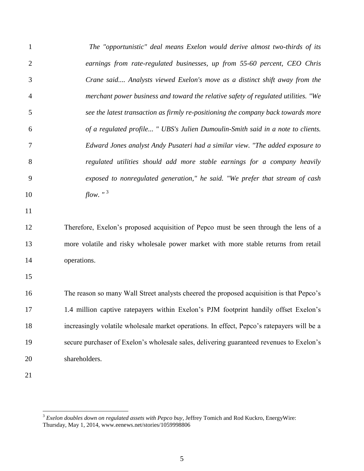| $\mathbf{1}$   | The "opportunistic" deal means Exelon would derive almost two-thirds of its                |
|----------------|--------------------------------------------------------------------------------------------|
| $\overline{2}$ | earnings from rate-regulated businesses, up from 55-60 percent, CEO Chris                  |
| 3              | Crane said Analysts viewed Exelon's move as a distinct shift away from the                 |
| 4              | merchant power business and toward the relative safety of regulated utilities. "We         |
| 5              | see the latest transaction as firmly re-positioning the company back towards more          |
| 6              | of a regulated profile " UBS's Julien Dumoulin-Smith said in a note to clients.            |
| 7              | Edward Jones analyst Andy Pusateri had a similar view. "The added exposure to              |
| 8              | regulated utilities should add more stable earnings for a company heavily                  |
| 9              | exposed to nonregulated generation," he said. "We prefer that stream of cash               |
| 10             | flow. $n^3$                                                                                |
| 11             |                                                                                            |
| 12             | Therefore, Exelon's proposed acquisition of Pepco must be seen through the lens of a       |
| 13             | more volatile and risky wholesale power market with more stable returns from retail        |
| 14             | operations.                                                                                |
| 15             |                                                                                            |
| 16             | The reason so many Wall Street analysts cheered the proposed acquisition is that Pepco's   |
| 17             | 1.4 million captive ratepayers within Exelon's PJM footprint handily offset Exelon's       |
| 18             | increasingly volatile wholesale market operations. In effect, Pepco's ratepayers will be a |
| 19             | secure purchaser of Exelon's wholesale sales, delivering guaranteed revenues to Exelon's   |
| 20             | shareholders.                                                                              |
| 21             |                                                                                            |

 *Exelon doubles down on regulated assets with Pepco buy,* Jeffrey Tomich and Rod Kuckro, EnergyWire: Thursday, May 1, 2014, www.eenews.net/stories/1059998806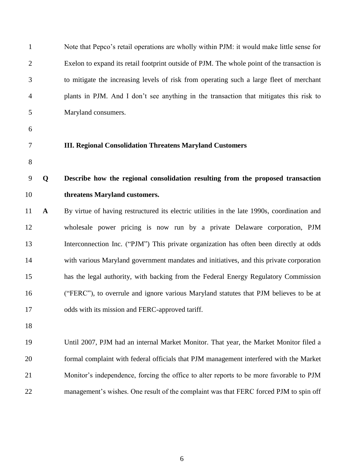| $\mathbf{1}$   |              | Note that Pepco's retail operations are wholly within PJM: it would make little sense for   |
|----------------|--------------|---------------------------------------------------------------------------------------------|
| $\overline{2}$ |              | Exelon to expand its retail footprint outside of PJM. The whole point of the transaction is |
| 3              |              | to mitigate the increasing levels of risk from operating such a large fleet of merchant     |
| $\overline{4}$ |              | plants in PJM. And I don't see anything in the transaction that mitigates this risk to      |
| 5              |              | Maryland consumers.                                                                         |
| 6              |              |                                                                                             |
| 7              |              | <b>III. Regional Consolidation Threatens Maryland Customers</b>                             |
| 8              |              |                                                                                             |
| 9              | Q            | Describe how the regional consolidation resulting from the proposed transaction             |
| 10             |              | threatens Maryland customers.                                                               |
| 11             | $\mathbf{A}$ | By virtue of having restructured its electric utilities in the late 1990s, coordination and |
| 12             |              | wholesale power pricing is now run by a private Delaware corporation, PJM                   |
| 13             |              | Interconnection Inc. ("PJM") This private organization has often been directly at odds      |
| 14             |              | with various Maryland government mandates and initiatives, and this private corporation     |
| 15             |              | has the legal authority, with backing from the Federal Energy Regulatory Commission         |
| 16             |              | ("FERC"), to overrule and ignore various Maryland statutes that PJM believes to be at       |
| 17             |              | odds with its mission and FERC-approved tariff.                                             |
| 18             |              |                                                                                             |
| 19             |              | Until 2007, PJM had an internal Market Monitor. That year, the Market Monitor filed a       |
| 20             |              | formal complaint with federal officials that PJM management interfered with the Market      |
| 21             |              | Monitor's independence, forcing the office to alter reports to be more favorable to PJM     |
| 22             |              | management's wishes. One result of the complaint was that FERC forced PJM to spin off       |
|                |              |                                                                                             |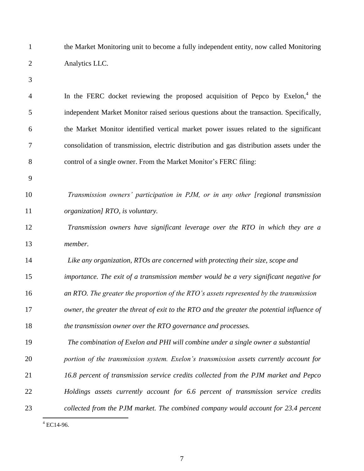| the Market Monitoring unit to become a fully independent entity, now called Monitoring      |
|---------------------------------------------------------------------------------------------|
| Analytics LLC.                                                                              |
|                                                                                             |
| In the FERC docket reviewing the proposed acquisition of Pepco by Exelon, <sup>4</sup> the  |
| independent Market Monitor raised serious questions about the transaction. Specifically,    |
| the Market Monitor identified vertical market power issues related to the significant       |
| consolidation of transmission, electric distribution and gas distribution assets under the  |
| control of a single owner. From the Market Monitor's FERC filing:                           |
|                                                                                             |
| Transmission owners' participation in PJM, or in any other [regional transmission           |
| organization] RTO, is voluntary.                                                            |
| Transmission owners have significant leverage over the RTO in which they are a              |
| member.                                                                                     |
| Like any organization, RTOs are concerned with protecting their size, scope and             |
| importance. The exit of a transmission member would be a very significant negative for      |
| an RTO. The greater the proportion of the RTO's assets represented by the transmission      |
| owner, the greater the threat of exit to the RTO and the greater the potential influence of |
| the transmission owner over the RTO governance and processes.                               |
| The combination of Exelon and PHI will combine under a single owner a substantial           |
| portion of the transmission system. Exelon's transmission assets currently account for      |
| 16.8 percent of transmission service credits collected from the PJM market and Pepco        |
| Holdings assets currently account for 6.6 percent of transmission service credits           |
| collected from the PJM market. The combined company would account for 23.4 percent          |
|                                                                                             |

EC14-96.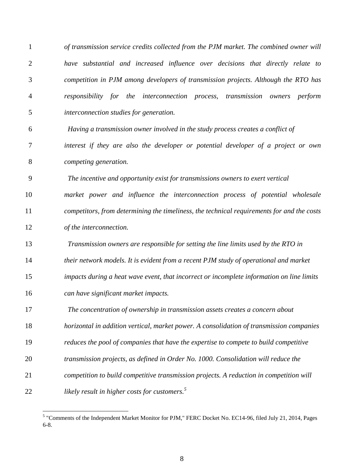| $\mathbf{1}$   | of transmission service credits collected from the PJM market. The combined owner will     |
|----------------|--------------------------------------------------------------------------------------------|
| $\overline{c}$ | have substantial and increased influence over decisions that directly relate to            |
| 3              | competition in PJM among developers of transmission projects. Although the RTO has         |
| 4              | responsibility for the interconnection process,<br>transmission owners<br>perform          |
| 5              | interconnection studies for generation.                                                    |
| 6              | Having a transmission owner involved in the study process creates a conflict of            |
| 7              | interest if they are also the developer or potential developer of a project or own         |
| 8              | competing generation.                                                                      |
| 9              | The incentive and opportunity exist for transmissions owners to exert vertical             |
| 10             | market power and influence the interconnection process of potential wholesale              |
| 11             | competitors, from determining the timeliness, the technical requirements for and the costs |
| 12             | of the interconnection.                                                                    |
| 13             | Transmission owners are responsible for setting the line limits used by the RTO in         |
| 14             | their network models. It is evident from a recent PJM study of operational and market      |
| 15             | impacts during a heat wave event, that incorrect or incomplete information on line limits  |
| 16             | can have significant market impacts.                                                       |
| 17             | The concentration of ownership in transmission assets creates a concern about              |
| 18             | horizontal in addition vertical, market power. A consolidation of transmission companies   |
| 19             | reduces the pool of companies that have the expertise to compete to build competitive      |
| 20             | transmission projects, as defined in Order No. 1000. Consolidation will reduce the         |
| 21             | competition to build competitive transmission projects. A reduction in competition will    |
| 22             | likely result in higher costs for customers. <sup>5</sup>                                  |

 5 "Comments of the Independent Market Monitor for PJM," FERC Docket No. EC14-96, filed July 21, 2014, Pages 6-8.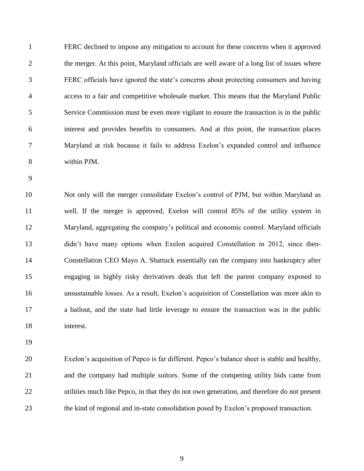FERC declined to impose any mitigation to account for these concerns when it approved 2 the merger. At this point, Maryland officials are well aware of a long list of issues where FERC officials have ignored the state's concerns about protecting consumers and having access to a fair and competitive wholesale market. This means that the Maryland Public Service Commission must be even more vigilant to ensure the transaction is in the public interest and provides benefits to consumers. And at this point, the transaction places Maryland at risk because it fails to address Exelon's expanded control and influence within PJM.

 Not only will the merger consolidate Exelon's control of PJM, but within Maryland as well. If the merger is approved, Exelon will control 85% of the utility system in Maryland, aggregating the company's political and economic control. Maryland officials 13 didn't have many options when Exelon acquired Constellation in 2012, since then- Constellation CEO Mayo A. Shattuck essentially ran the company into bankruptcy after engaging in highly risky derivatives deals that left the parent company exposed to unsustainable losses. As a result, Exelon's acquisition of Constellation was more akin to a bailout, and the state had little leverage to ensure the transaction was in the public interest.

 Exelon's acquisition of Pepco is far different. Pepco's balance sheet is stable and healthy, and the company had multiple suitors. Some of the competing utility bids came from utilities much like Pepco, in that they do not own generation, and therefore do not present the kind of regional and in-state consolidation posed by Exelon's proposed transaction.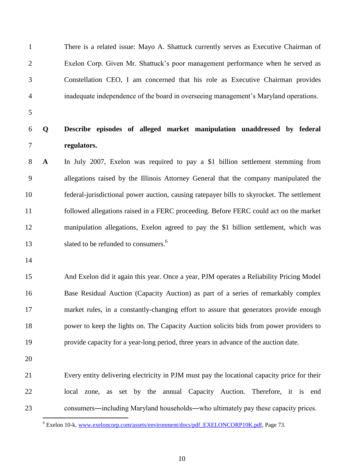| $\mathbf{1}$   |              | There is a related issue: Mayo A. Shattuck currently serves as Executive Chairman of        |
|----------------|--------------|---------------------------------------------------------------------------------------------|
| $\overline{2}$ |              | Exelon Corp. Given Mr. Shattuck's poor management performance when he served as             |
| 3              |              | Constellation CEO, I am concerned that his role as Executive Chairman provides              |
| $\overline{4}$ |              | inadequate independence of the board in overseeing management's Maryland operations.        |
| 5              |              |                                                                                             |
| 6              | Q            | Describe episodes of alleged market manipulation unaddressed by federal                     |
| $\tau$         |              | regulators.                                                                                 |
| $8\phantom{1}$ | $\mathbf{A}$ | In July 2007, Exelon was required to pay a \$1 billion settlement stemming from             |
| 9              |              | allegations raised by the Illinois Attorney General that the company manipulated the        |
| 10             |              | federal-jurisdictional power auction, causing ratepayer bills to skyrocket. The settlement  |
| 11             |              | followed allegations raised in a FERC proceeding. Before FERC could act on the market       |
| 12             |              | manipulation allegations, Exelon agreed to pay the \$1 billion settlement, which was        |
| 13             |              | slated to be refunded to consumers. <sup>6</sup>                                            |
| 14             |              |                                                                                             |
| 15             |              | And Exelon did it again this year. Once a year, PJM operates a Reliability Pricing Model    |
| 16             |              | Base Residual Auction (Capacity Auction) as part of a series of remarkably complex          |
| 17             |              | market rules, in a constantly-changing effort to assure that generators provide enough      |
| 18             |              | power to keep the lights on. The Capacity Auction solicits bids from power providers to     |
| 19             |              | provide capacity for a year-long period, three years in advance of the auction date.        |
| 20             |              |                                                                                             |
| 21             |              | Every entity delivering electricity in PJM must pay the locational capacity price for their |
| 22             |              | local zone, as set by the annual Capacity Auction. Therefore, it is end                     |
| 23             |              | consumers—including Maryland households—who ultimately pay these capacity prices.           |
|                |              |                                                                                             |

<sup>&</sup>lt;sup>6</sup> Exelon 10-k, [www.exeloncorp.com/assets/environment/docs/pdf\\_EXELONCORP10K.pdf,](http://www.exeloncorp.com/assets/environment/docs/pdf_EXELONCORP10K.pdf) Page 73.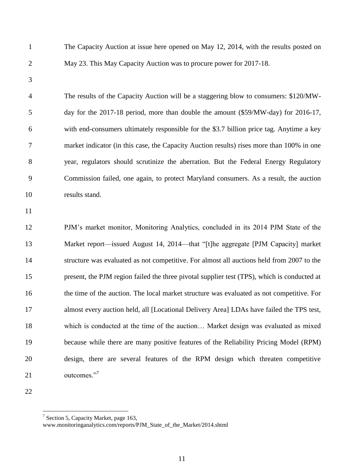The Capacity Auction at issue here opened on May 12, 2014, with the results posted on May 23. This May Capacity Auction was to procure power for 2017-18.

 The results of the Capacity Auction will be a staggering blow to consumers: \$120/MW- day for the 2017-18 period, more than double the amount (\$59/MW-day) for 2016-17, with end-consumers ultimately responsible for the \$3.7 billion price tag. Anytime a key market indicator (in this case, the Capacity Auction results) rises more than 100% in one year, regulators should scrutinize the aberration. But the Federal Energy Regulatory Commission failed, one again, to protect Maryland consumers. As a result, the auction results stand.

 PJM's market monitor, Monitoring Analytics, concluded in its 2014 PJM State of the Market report—issued August 14, 2014—that "[t]he aggregate [PJM Capacity] market structure was evaluated as not competitive. For almost all auctions held from 2007 to the present, the PJM region failed the three pivotal supplier test (TPS), which is conducted at the time of the auction. The local market structure was evaluated as not competitive. For almost every auction held, all [Locational Delivery Area] LDAs have failed the TPS test, which is conducted at the time of the auction… Market design was evaluated as mixed because while there are many positive features of the Reliability Pricing Model (RPM) design, there are several features of the RPM design which threaten competitive outcomes."<sup>7</sup> 

<sup>&</sup>lt;sup>7</sup> Section 5, Capacity Market, page 163,

www.monitoringanalytics.com/reports/PJM\_State\_of\_the\_Market/2014.shtml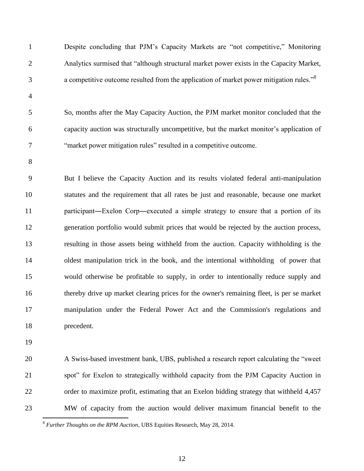Despite concluding that PJM's Capacity Markets are "not competitive," Monitoring Analytics surmised that "although structural market power exists in the Capacity Market, a competitive outcome resulted from the application of market power mitigation rules."<sup>8</sup> So, months after the May Capacity Auction, the PJM market monitor concluded that the capacity auction was structurally uncompetitive, but the market monitor's application of "market power mitigation rules" resulted in a competitive outcome. But I believe the Capacity Auction and its results violated federal anti-manipulation statutes and the requirement that all rates be just and reasonable, because one market 11 participant—Exelon Corp—executed a simple strategy to ensure that a portion of its generation portfolio would submit prices that would be rejected by the auction process, resulting in those assets being withheld from the auction. Capacity withholding is the oldest manipulation trick in the book, and the intentional withholding of power that would otherwise be profitable to supply, in order to intentionally reduce supply and thereby drive up market clearing prices for the owner's remaining fleet, is per se market manipulation under the Federal Power Act and the Commission's regulations and precedent. 

 A Swiss-based investment bank, UBS, published a research report calculating the "sweet spot" for Exelon to strategically withhold capacity from the PJM Capacity Auction in 22 order to maximize profit, estimating that an Exelon bidding strategy that withheld 4,457 MW of capacity from the auction would deliver maximum financial benefit to the  $\overline{a}$ 

*Further Thoughts on the RPM Auction*, UBS Equities Research, May 28, 2014.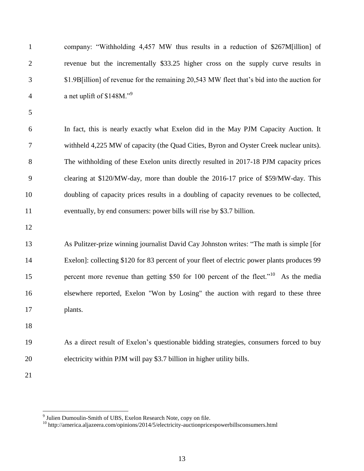| $\mathbf{1}$   | company: "Withholding 4,457 MW thus results in a reduction of \$267M [illion] of                 |
|----------------|--------------------------------------------------------------------------------------------------|
| $\overline{2}$ | revenue but the incrementally \$33.25 higher cross on the supply curve results in                |
| 3              | \$1.9B[illion] of revenue for the remaining 20,543 MW fleet that's bid into the auction for      |
| $\overline{4}$ | a net uplift of \$148M." <sup>9</sup>                                                            |
| 5              |                                                                                                  |
| 6              | In fact, this is nearly exactly what Exelon did in the May PJM Capacity Auction. It              |
| 7              | withheld 4,225 MW of capacity (the Quad Cities, Byron and Oyster Creek nuclear units).           |
| 8              | The withholding of these Exelon units directly resulted in 2017-18 PJM capacity prices           |
| 9              | clearing at \$120/MW-day, more than double the 2016-17 price of \$59/MW-day. This                |
| 10             | doubling of capacity prices results in a doubling of capacity revenues to be collected,          |
| 11             | eventually, by end consumers: power bills will rise by \$3.7 billion.                            |
| 12             |                                                                                                  |
| 13             | As Pulitzer-prize winning journalist David Cay Johnston writes: "The math is simple [for         |
| 14             | Exelon]: collecting \$120 for 83 percent of your fleet of electric power plants produces 99      |
| 15             | percent more revenue than getting \$50 for 100 percent of the fleet." <sup>10</sup> As the media |
| 16             | elsewhere reported, Exelon "Won by Losing" the auction with regard to these three                |
| 17             | plants.                                                                                          |
| 18             |                                                                                                  |
| 19             | As a direct result of Exelon's questionable bidding strategies, consumers forced to buy          |
| 20             | electricity within PJM will pay \$3.7 billion in higher utility bills.                           |
| 21             |                                                                                                  |

 9 Julien Dumoulin-Smith of UBS, Exelon Research Note, copy on file.

<sup>&</sup>lt;sup>10</sup> http://america.aljazeera.com/opinions/2014/5/electricity-auctionpricespowerbillsconsumers.html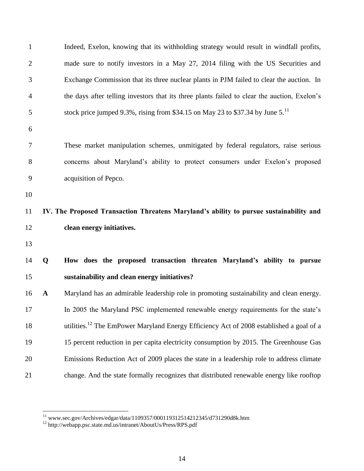| $\mathbf{1}$   |              | Indeed, Exelon, knowing that its withholding strategy would result in windfall profits,             |
|----------------|--------------|-----------------------------------------------------------------------------------------------------|
| $\overline{2}$ |              | made sure to notify investors in a May 27, 2014 filing with the US Securities and                   |
| 3              |              | Exchange Commission that its three nuclear plants in PJM failed to clear the auction. In            |
| $\overline{4}$ |              | the days after telling investors that its three plants failed to clear the auction, Exelon's        |
| 5              |              | stock price jumped 9.3%, rising from \$34.15 on May 23 to \$37.34 by June $5.^{11}$                 |
| 6              |              |                                                                                                     |
| $\overline{7}$ |              | These market manipulation schemes, unmitigated by federal regulators, raise serious                 |
| 8              |              | concerns about Maryland's ability to protect consumers under Exelon's proposed                      |
| 9              |              | acquisition of Pepco.                                                                               |
| 10             |              |                                                                                                     |
| 11             |              | IV. The Proposed Transaction Threatens Maryland's ability to pursue sustainability and              |
| 12             |              | clean energy initiatives.                                                                           |
| 13             |              |                                                                                                     |
| 14             | Q            | How does the proposed transaction threaten Maryland's ability to pursue                             |
| 15             |              | sustainability and clean energy initiatives?                                                        |
| 16             | $\mathbf{A}$ | Maryland has an admirable leadership role in promoting sustainability and clean energy.             |
| 17             |              | In 2005 the Maryland PSC implemented renewable energy requirements for the state's                  |
| 18             |              | utilities. <sup>12</sup> The EmPower Maryland Energy Efficiency Act of 2008 established a goal of a |
| 19             |              | 15 percent reduction in per capita electricity consumption by 2015. The Greenhouse Gas              |
| 20             |              | Emissions Reduction Act of 2009 places the state in a leadership role to address climate            |
|                |              |                                                                                                     |

<sup>&</sup>lt;sup>11</sup> www.sec.gov/Archives/edgar/data/1109357/000119312514212345/d731290d8k.htm

http://webapp.psc.state.md.us/intranet/AboutUs/Press/RPS.pdf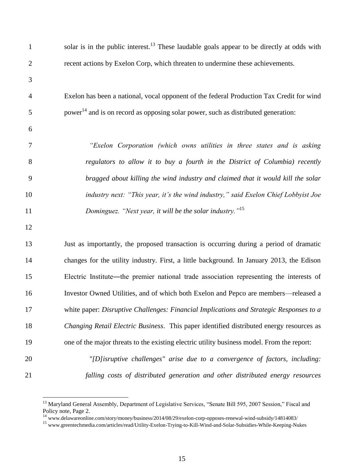| $\mathbf{1}$   | solar is in the public interest. <sup>13</sup> These laudable goals appear to be directly at odds with |
|----------------|--------------------------------------------------------------------------------------------------------|
| $\overline{2}$ | recent actions by Exelon Corp, which threaten to undermine these achievements.                         |
| 3              |                                                                                                        |
| $\overline{4}$ | Exelon has been a national, vocal opponent of the federal Production Tax Credit for wind               |
| 5              | power <sup>14</sup> and is on record as opposing solar power, such as distributed generation:          |
| 6              |                                                                                                        |
| 7              | "Exelon Corporation (which owns utilities in three states and is asking                                |
| 8              | regulators to allow it to buy a fourth in the District of Columbia) recently                           |
| 9              | bragged about killing the wind industry and claimed that it would kill the solar                       |
| 10             | industry next: "This year, it's the wind industry," said Exelon Chief Lobbyist Joe                     |
| 11             | Dominguez. "Next year, it will be the solar industry." <sup>15</sup>                                   |
| 12             |                                                                                                        |
| 13             | Just as importantly, the proposed transaction is occurring during a period of dramatic                 |
| 14             | changes for the utility industry. First, a little background. In January 2013, the Edison              |
| 15             | Electric Institute—the premier national trade association representing the interests of                |
| 16             | Investor Owned Utilities, and of which both Exelon and Pepco are members—released a                    |
| 17             | white paper: Disruptive Challenges: Financial Implications and Strategic Responses to a                |
| 18             | Changing Retail Electric Business. This paper identified distributed energy resources as               |
| 19             | one of the major threats to the existing electric utility business model. From the report:             |
| 20             | "[D] isruptive challenges" arise due to a convergence of factors, including:                           |
| 21             | falling costs of distributed generation and other distributed energy resources                         |

<sup>&</sup>lt;sup>13</sup> Maryland General Assembly, Department of Legislative Services, "Senate Bill 595, 2007 Session," Fiscal and Policy note, Page 2.

www.delawareonline.com/story/money/business/2014/08/29/exelon-corp-opposes-renewal-wind-subsidy/14814083/

www.greentechmedia.com/articles/read/Utility-Exelon-Trying-to-Kill-Wind-and-Solar-Subsidies-While-Keeping-Nukes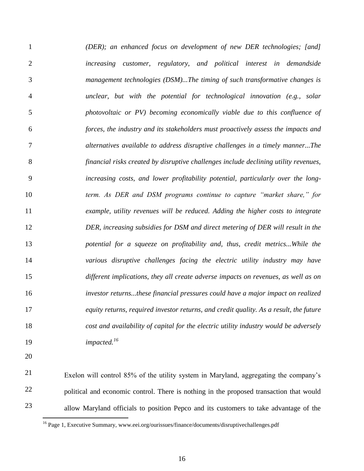*(DER); an enhanced focus on development of new DER technologies; [and] increasing customer, regulatory, and political interest in demandside management technologies (DSM)...The timing of such transformative changes is unclear, but with the potential for technological innovation (e.g., solar photovoltaic or PV) becoming economically viable due to this confluence of forces, the industry and its stakeholders must proactively assess the impacts and alternatives available to address disruptive challenges in a timely manner...The financial risks created by disruptive challenges include declining utility revenues, increasing costs, and lower profitability potential, particularly over the long- term. As DER and DSM programs continue to capture "market share," for example, utility revenues will be reduced. Adding the higher costs to integrate DER, increasing subsidies for DSM and direct metering of DER will result in the potential for a squeeze on profitability and, thus, credit metrics...While the various disruptive challenges facing the electric utility industry may have different implications, they all create adverse impacts on revenues, as well as on investor returns...these financial pressures could have a major impact on realized equity returns, required investor returns, and credit quality. As a result, the future cost and availability of capital for the electric utility industry would be adversely impacted.*<sup>16</sup>

 $\overline{a}$ 

Exelon will control 85% of the utility system in Maryland, aggregating the company's 21 political and economic control. There is nothing in the proposed transaction that would 22 allow Maryland officials to position Pepco and its customers to take advantage of the 23

<sup>&</sup>lt;sup>16</sup> Page 1, Executive Summary, www.eei.org/ourissues/finance/documents/disruptivechallenges.pdf